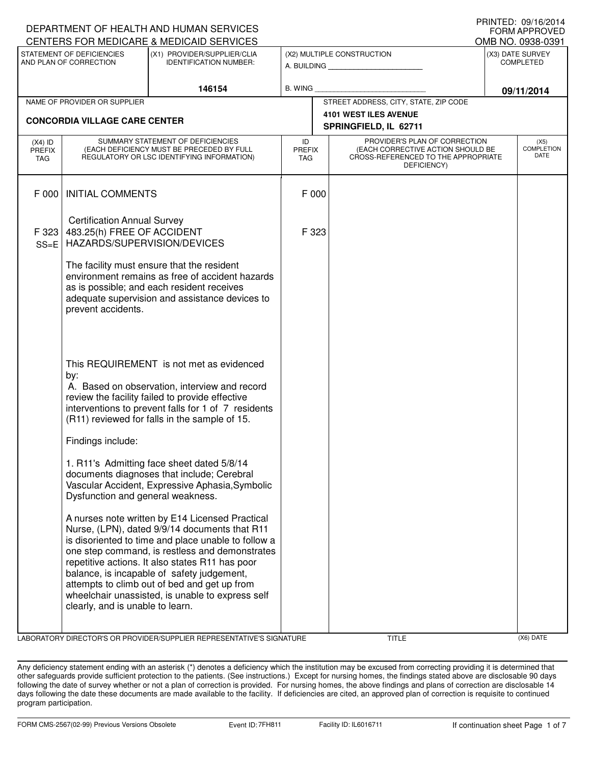|                                                                                                                     |                                                                                                                                                                                                                                                                                                                                                                                                                                                                                    | DEPARTMENT OF HEALTH AND HUMAN SERVICES                                                                                                                                                                                                                                                                                                                                                                        |                            |                                                                                           |                                              |  | <b>FORM APPROVED</b>                     |
|---------------------------------------------------------------------------------------------------------------------|------------------------------------------------------------------------------------------------------------------------------------------------------------------------------------------------------------------------------------------------------------------------------------------------------------------------------------------------------------------------------------------------------------------------------------------------------------------------------------|----------------------------------------------------------------------------------------------------------------------------------------------------------------------------------------------------------------------------------------------------------------------------------------------------------------------------------------------------------------------------------------------------------------|----------------------------|-------------------------------------------------------------------------------------------|----------------------------------------------|--|------------------------------------------|
|                                                                                                                     |                                                                                                                                                                                                                                                                                                                                                                                                                                                                                    | CENTERS FOR MEDICARE & MEDICAID SERVICES                                                                                                                                                                                                                                                                                                                                                                       |                            |                                                                                           |                                              |  | OMB NO. 0938-0391                        |
| STATEMENT OF DEFICIENCIES<br>(X1) PROVIDER/SUPPLIER/CLIA<br>AND PLAN OF CORRECTION<br><b>IDENTIFICATION NUMBER:</b> |                                                                                                                                                                                                                                                                                                                                                                                                                                                                                    |                                                                                                                                                                                                                                                                                                                                                                                                                | (X2) MULTIPLE CONSTRUCTION |                                                                                           | (X3) DATE SURVEY<br><b>COMPLETED</b>         |  |                                          |
| 146154                                                                                                              |                                                                                                                                                                                                                                                                                                                                                                                                                                                                                    | <b>B. WING</b>                                                                                                                                                                                                                                                                                                                                                                                                 |                            |                                                                                           | 09/11/2014                                   |  |                                          |
| NAME OF PROVIDER OR SUPPLIER                                                                                        |                                                                                                                                                                                                                                                                                                                                                                                                                                                                                    |                                                                                                                                                                                                                                                                                                                                                                                                                |                            | STREET ADDRESS, CITY, STATE, ZIP CODE                                                     |                                              |  |                                          |
|                                                                                                                     | <b>CONCORDIA VILLAGE CARE CENTER</b>                                                                                                                                                                                                                                                                                                                                                                                                                                               |                                                                                                                                                                                                                                                                                                                                                                                                                |                            | 4101 WEST ILES AVENUE<br>SPRINGFIELD, IL 62711                                            |                                              |  |                                          |
| $(X4)$ ID<br>PREFIX<br>TAG                                                                                          | SUMMARY STATEMENT OF DEFICIENCIES<br>(EACH DEFICIENCY MUST BE PRECEDED BY FULL<br>REGULATORY OR LSC IDENTIFYING INFORMATION)                                                                                                                                                                                                                                                                                                                                                       |                                                                                                                                                                                                                                                                                                                                                                                                                |                            | (EACH CORRECTIVE ACTION SHOULD BE<br><b>PREFIX</b><br>CROSS-REFERENCED TO THE APPROPRIATE | PROVIDER'S PLAN OF CORRECTION<br>DEFICIENCY) |  | (X5)<br><b>COMPLETION</b><br><b>DATE</b> |
| F 000                                                                                                               | <b>INITIAL COMMENTS</b>                                                                                                                                                                                                                                                                                                                                                                                                                                                            |                                                                                                                                                                                                                                                                                                                                                                                                                | F 000                      |                                                                                           |                                              |  |                                          |
| F 323<br>$SS=E$                                                                                                     | <b>Certification Annual Survey</b><br>483.25(h) FREE OF ACCIDENT<br>HAZARDS/SUPERVISION/DEVICES                                                                                                                                                                                                                                                                                                                                                                                    |                                                                                                                                                                                                                                                                                                                                                                                                                | F 323                      |                                                                                           |                                              |  |                                          |
|                                                                                                                     | The facility must ensure that the resident<br>environment remains as free of accident hazards<br>as is possible; and each resident receives<br>adequate supervision and assistance devices to<br>prevent accidents.<br>This REQUIREMENT is not met as evidenced<br>by:<br>A. Based on observation, interview and record<br>review the facility failed to provide effective<br>interventions to prevent falls for 1 of 7 residents<br>(R11) reviewed for falls in the sample of 15. |                                                                                                                                                                                                                                                                                                                                                                                                                |                            |                                                                                           |                                              |  |                                          |
|                                                                                                                     |                                                                                                                                                                                                                                                                                                                                                                                                                                                                                    |                                                                                                                                                                                                                                                                                                                                                                                                                |                            |                                                                                           |                                              |  |                                          |
|                                                                                                                     | Findings include:                                                                                                                                                                                                                                                                                                                                                                                                                                                                  |                                                                                                                                                                                                                                                                                                                                                                                                                |                            |                                                                                           |                                              |  |                                          |
|                                                                                                                     | 1. R11's Admitting face sheet dated 5/8/14<br>documents diagnoses that include; Cerebral<br>Vascular Accident, Expressive Aphasia, Symbolic<br>Dysfunction and general weakness.                                                                                                                                                                                                                                                                                                   |                                                                                                                                                                                                                                                                                                                                                                                                                |                            |                                                                                           |                                              |  |                                          |
|                                                                                                                     | clearly, and is unable to learn.                                                                                                                                                                                                                                                                                                                                                                                                                                                   | A nurses note written by E14 Licensed Practical<br>Nurse, (LPN), dated 9/9/14 documents that R11<br>is disoriented to time and place unable to follow a<br>one step command, is restless and demonstrates<br>repetitive actions. It also states R11 has poor<br>balance, is incapable of safety judgement,<br>attempts to climb out of bed and get up from<br>wheelchair unassisted, is unable to express self |                            |                                                                                           |                                              |  |                                          |

LABORATORY DIRECTOR'S OR PROVIDER/SUPPLIER REPRESENTATIVE'S SIGNATURE TITLE (X6) DATE

PRINTED: 09/16/2014

Any deficiency statement ending with an asterisk (\*) denotes a deficiency which the institution may be excused from correcting providing it is determined that other safeguards provide sufficient protection to the patients. (See instructions.) Except for nursing homes, the findings stated above are disclosable 90 days following the date of survey whether or not a plan of correction is provided. For nursing homes, the above findings and plans of correction are disclosable 14 days following the date these documents are made available to the facility. If deficiencies are cited, an approved plan of correction is requisite to continued program participation.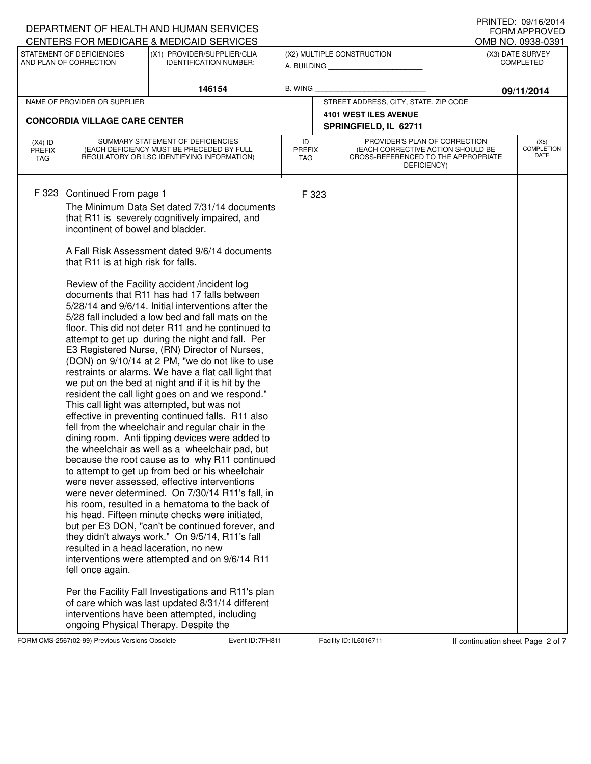|                                      |                                                                                                                                                                | DEPARTMENT OF HEALTH AND HUMAN SERVICES                                                                                                                                                                                                                                                                                                                                                                                                                                                                                                                                                                                                                                                                                                                                                                                                                                                                                                                                                                                                                                                                                                                                                                                                                                                                                                                                                                                                                                                                                                                                                                                                                                               |                            |       |                                                                                                                          | FORM APPROVED                        |
|--------------------------------------|----------------------------------------------------------------------------------------------------------------------------------------------------------------|---------------------------------------------------------------------------------------------------------------------------------------------------------------------------------------------------------------------------------------------------------------------------------------------------------------------------------------------------------------------------------------------------------------------------------------------------------------------------------------------------------------------------------------------------------------------------------------------------------------------------------------------------------------------------------------------------------------------------------------------------------------------------------------------------------------------------------------------------------------------------------------------------------------------------------------------------------------------------------------------------------------------------------------------------------------------------------------------------------------------------------------------------------------------------------------------------------------------------------------------------------------------------------------------------------------------------------------------------------------------------------------------------------------------------------------------------------------------------------------------------------------------------------------------------------------------------------------------------------------------------------------------------------------------------------------|----------------------------|-------|--------------------------------------------------------------------------------------------------------------------------|--------------------------------------|
|                                      |                                                                                                                                                                | CENTERS FOR MEDICARE & MEDICAID SERVICES                                                                                                                                                                                                                                                                                                                                                                                                                                                                                                                                                                                                                                                                                                                                                                                                                                                                                                                                                                                                                                                                                                                                                                                                                                                                                                                                                                                                                                                                                                                                                                                                                                              |                            |       |                                                                                                                          | OMB NO. 0938-0391                    |
| AND PLAN OF CORRECTION               | STATEMENT OF DEFICIENCIES                                                                                                                                      | (X1) PROVIDER/SUPPLIER/CLIA<br><b>IDENTIFICATION NUMBER:</b>                                                                                                                                                                                                                                                                                                                                                                                                                                                                                                                                                                                                                                                                                                                                                                                                                                                                                                                                                                                                                                                                                                                                                                                                                                                                                                                                                                                                                                                                                                                                                                                                                          |                            |       | (X2) MULTIPLE CONSTRUCTION<br>A. BUILDING                                                                                | (X3) DATE SURVEY<br><b>COMPLETED</b> |
|                                      |                                                                                                                                                                | 146154                                                                                                                                                                                                                                                                                                                                                                                                                                                                                                                                                                                                                                                                                                                                                                                                                                                                                                                                                                                                                                                                                                                                                                                                                                                                                                                                                                                                                                                                                                                                                                                                                                                                                | <b>B. WING</b>             |       |                                                                                                                          | 09/11/2014                           |
| NAME OF PROVIDER OR SUPPLIER         |                                                                                                                                                                |                                                                                                                                                                                                                                                                                                                                                                                                                                                                                                                                                                                                                                                                                                                                                                                                                                                                                                                                                                                                                                                                                                                                                                                                                                                                                                                                                                                                                                                                                                                                                                                                                                                                                       |                            |       | STREET ADDRESS, CITY, STATE, ZIP CODE                                                                                    |                                      |
| <b>CONCORDIA VILLAGE CARE CENTER</b> |                                                                                                                                                                |                                                                                                                                                                                                                                                                                                                                                                                                                                                                                                                                                                                                                                                                                                                                                                                                                                                                                                                                                                                                                                                                                                                                                                                                                                                                                                                                                                                                                                                                                                                                                                                                                                                                                       |                            |       | 4101 WEST ILES AVENUE<br>SPRINGFIELD, IL 62711                                                                           |                                      |
| $(X4)$ ID<br><b>PREFIX</b><br>TAG    |                                                                                                                                                                | SUMMARY STATEMENT OF DEFICIENCIES<br>(EACH DEFICIENCY MUST BE PRECEDED BY FULL<br>REGULATORY OR LSC IDENTIFYING INFORMATION)                                                                                                                                                                                                                                                                                                                                                                                                                                                                                                                                                                                                                                                                                                                                                                                                                                                                                                                                                                                                                                                                                                                                                                                                                                                                                                                                                                                                                                                                                                                                                          | ID<br><b>PREFIX</b><br>TAG |       | PROVIDER'S PLAN OF CORRECTION<br>(EACH CORRECTIVE ACTION SHOULD BE<br>CROSS-REFERENCED TO THE APPROPRIATE<br>DEFICIENCY) | (X5)<br><b>COMPLETION</b><br>DATE    |
| F 323                                | Continued From page 1<br>incontinent of bowel and bladder.<br>that R11 is at high risk for falls.<br>resulted in a head laceration, no new<br>fell once again. | The Minimum Data Set dated 7/31/14 documents<br>that R11 is severely cognitively impaired, and<br>A Fall Risk Assessment dated 9/6/14 documents<br>Review of the Facility accident /incident log<br>documents that R11 has had 17 falls between<br>5/28/14 and 9/6/14. Initial interventions after the<br>5/28 fall included a low bed and fall mats on the<br>floor. This did not deter R11 and he continued to<br>attempt to get up during the night and fall. Per<br>E3 Registered Nurse, (RN) Director of Nurses,<br>(DON) on 9/10/14 at 2 PM, "we do not like to use<br>restraints or alarms. We have a flat call light that<br>we put on the bed at night and if it is hit by the<br>resident the call light goes on and we respond."<br>This call light was attempted, but was not<br>effective in preventing continued falls. R11 also<br>fell from the wheelchair and regular chair in the<br>dining room. Anti tipping devices were added to<br>the wheelchair as well as a wheelchair pad, but<br>because the root cause as to why R11 continued<br>to attempt to get up from bed or his wheelchair<br>were never assessed, effective interventions<br>were never determined. On 7/30/14 R11's fall, in<br>his room, resulted in a hematoma to the back of<br>his head. Fifteen minute checks were initiated,<br>but per E3 DON, "can't be continued forever, and<br>they didn't always work." On 9/5/14, R11's fall<br>interventions were attempted and on 9/6/14 R11<br>Per the Facility Fall Investigations and R11's plan<br>of care which was last updated 8/31/14 different<br>interventions have been attempted, including<br>ongoing Physical Therapy. Despite the |                            | F 323 |                                                                                                                          |                                      |

FORM CMS-2567(02-99) Previous Versions Obsolete **7** Event ID: 7FH811 Facility ID: IL6016711 If continuation sheet Page 2 of 7

DEPARTMENT OF HEALTH AND HUMAN SERVICES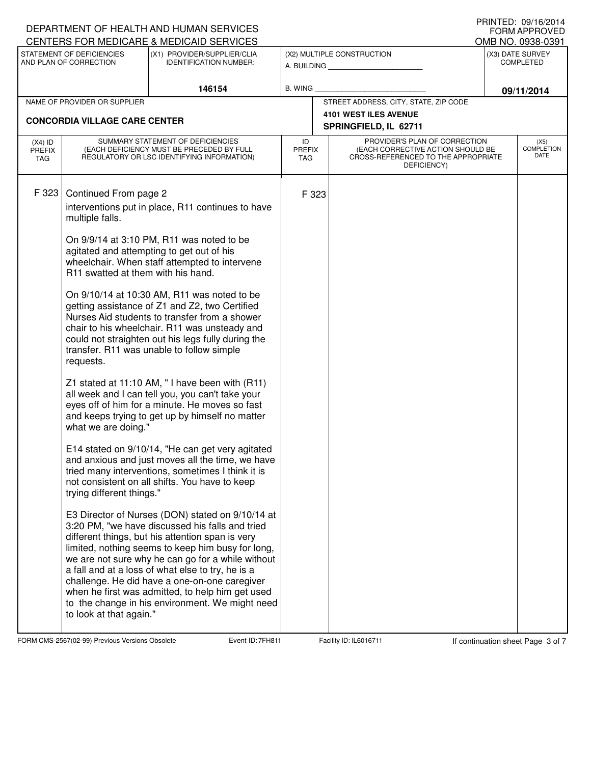|                             |                                                                                                                                                                                                                                                                                                                 | DEPARTMENT OF HEALTH AND HUMAN SERVICES                                                                                                                                                                                                                                                                                                                                                                                                                                        |                             |       |                                                                                         |                  | + ונווי וכט. טטוויש ביו<br><b>FORM APPROVED</b> |
|-----------------------------|-----------------------------------------------------------------------------------------------------------------------------------------------------------------------------------------------------------------------------------------------------------------------------------------------------------------|--------------------------------------------------------------------------------------------------------------------------------------------------------------------------------------------------------------------------------------------------------------------------------------------------------------------------------------------------------------------------------------------------------------------------------------------------------------------------------|-----------------------------|-------|-----------------------------------------------------------------------------------------|------------------|-------------------------------------------------|
|                             | STATEMENT OF DEFICIENCIES                                                                                                                                                                                                                                                                                       | CENTERS FOR MEDICARE & MEDICAID SERVICES<br>(X1) PROVIDER/SUPPLIER/CLIA                                                                                                                                                                                                                                                                                                                                                                                                        | (X2) MULTIPLE CONSTRUCTION  |       | OMB NO. 0938-0391<br>(X3) DATE SURVEY                                                   |                  |                                                 |
| AND PLAN OF CORRECTION      |                                                                                                                                                                                                                                                                                                                 | <b>IDENTIFICATION NUMBER:</b>                                                                                                                                                                                                                                                                                                                                                                                                                                                  | A. BUILDING                 |       |                                                                                         | <b>COMPLETED</b> |                                                 |
| 146154                      |                                                                                                                                                                                                                                                                                                                 |                                                                                                                                                                                                                                                                                                                                                                                                                                                                                | <b>B. WING</b>              |       |                                                                                         |                  | 09/11/2014                                      |
|                             | NAME OF PROVIDER OR SUPPLIER                                                                                                                                                                                                                                                                                    |                                                                                                                                                                                                                                                                                                                                                                                                                                                                                |                             |       | STREET ADDRESS, CITY, STATE, ZIP CODE                                                   |                  |                                                 |
|                             | <b>CONCORDIA VILLAGE CARE CENTER</b>                                                                                                                                                                                                                                                                            |                                                                                                                                                                                                                                                                                                                                                                                                                                                                                |                             |       | <b>4101 WEST ILES AVENUE</b><br>SPRINGFIELD, IL 62711                                   |                  |                                                 |
| $(X4)$ ID                   | SUMMARY STATEMENT OF DEFICIENCIES                                                                                                                                                                                                                                                                               |                                                                                                                                                                                                                                                                                                                                                                                                                                                                                | ID                          |       | PROVIDER'S PLAN OF CORRECTION                                                           |                  | (X5)                                            |
| <b>PREFIX</b><br><b>TAG</b> |                                                                                                                                                                                                                                                                                                                 | (EACH DEFICIENCY MUST BE PRECEDED BY FULL<br>REGULATORY OR LSC IDENTIFYING INFORMATION)                                                                                                                                                                                                                                                                                                                                                                                        | <b>PREFIX</b><br><b>TAG</b> |       | (EACH CORRECTIVE ACTION SHOULD BE<br>CROSS-REFERENCED TO THE APPROPRIATE<br>DEFICIENCY) |                  | <b>COMPLETION</b><br>DATE                       |
| F 323                       | Continued From page 2                                                                                                                                                                                                                                                                                           |                                                                                                                                                                                                                                                                                                                                                                                                                                                                                |                             | F 323 |                                                                                         |                  |                                                 |
|                             | multiple falls.                                                                                                                                                                                                                                                                                                 | interventions put in place, R11 continues to have                                                                                                                                                                                                                                                                                                                                                                                                                              |                             |       |                                                                                         |                  |                                                 |
|                             | R11 swatted at them with his hand.                                                                                                                                                                                                                                                                              | On 9/9/14 at 3:10 PM, R11 was noted to be<br>agitated and attempting to get out of his<br>wheelchair. When staff attempted to intervene                                                                                                                                                                                                                                                                                                                                        |                             |       |                                                                                         |                  |                                                 |
|                             | On 9/10/14 at 10:30 AM, R11 was noted to be<br>getting assistance of Z1 and Z2, two Certified<br>Nurses Aid students to transfer from a shower<br>chair to his wheelchair. R11 was unsteady and<br>could not straighten out his legs fully during the<br>transfer. R11 was unable to follow simple<br>requests. |                                                                                                                                                                                                                                                                                                                                                                                                                                                                                |                             |       |                                                                                         |                  |                                                 |
|                             | what we are doing."                                                                                                                                                                                                                                                                                             | Z1 stated at 11:10 AM, "I have been with (R11)<br>all week and I can tell you, you can't take your<br>eyes off of him for a minute. He moves so fast<br>and keeps trying to get up by himself no matter                                                                                                                                                                                                                                                                        |                             |       |                                                                                         |                  |                                                 |
|                             | trying different things."                                                                                                                                                                                                                                                                                       | E14 stated on 9/10/14, "He can get very agitated<br>and anxious and just moves all the time, we have<br>tried many interventions, sometimes I think it is<br>not consistent on all shifts. You have to keep                                                                                                                                                                                                                                                                    |                             |       |                                                                                         |                  |                                                 |
|                             | to look at that again."                                                                                                                                                                                                                                                                                         | E3 Director of Nurses (DON) stated on 9/10/14 at<br>3:20 PM, "we have discussed his falls and tried<br>different things, but his attention span is very<br>limited, nothing seems to keep him busy for long,<br>we are not sure why he can go for a while without<br>a fall and at a loss of what else to try, he is a<br>challenge. He did have a one-on-one caregiver<br>when he first was admitted, to help him get used<br>to the change in his environment. We might need |                             |       |                                                                                         |                  |                                                 |

FORM CMS-2567(02-99) Previous Versions Obsolete **7** Event ID: 7FH811 Facility ID: IL6016711 If continuation sheet Page 3 of 7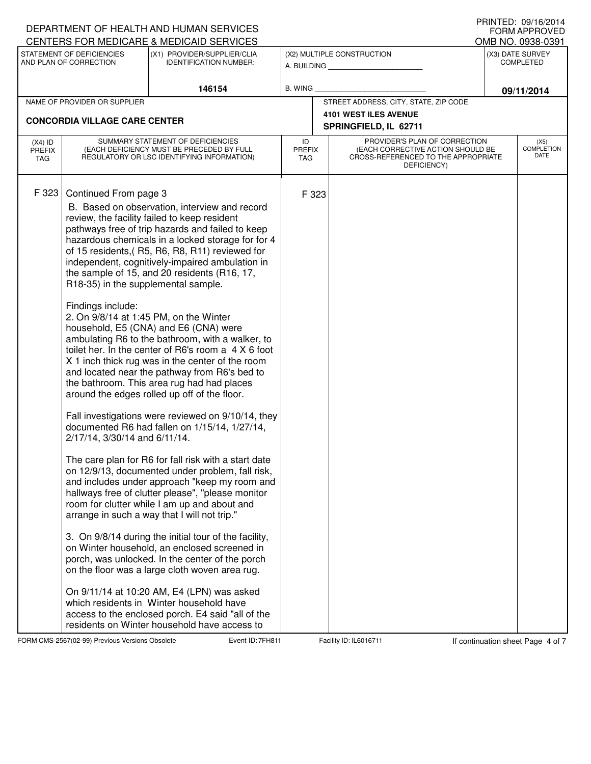|                                      |                                                                                                                              | DEPARTMENT OF HEALTH AND HUMAN SERVICES                                                                                                                                                                                                                                                                                                                                                                                                                                                                                                                                                                                                                                                                                                                                                                                                                                                                                                                                                                                                                                                                                                                                                                                                                                                                                                                                                                                                                                                                                                                                                             |         |                                       |                                                                                                           |                                   | <b>FORM APPROVED</b>                  |
|--------------------------------------|------------------------------------------------------------------------------------------------------------------------------|-----------------------------------------------------------------------------------------------------------------------------------------------------------------------------------------------------------------------------------------------------------------------------------------------------------------------------------------------------------------------------------------------------------------------------------------------------------------------------------------------------------------------------------------------------------------------------------------------------------------------------------------------------------------------------------------------------------------------------------------------------------------------------------------------------------------------------------------------------------------------------------------------------------------------------------------------------------------------------------------------------------------------------------------------------------------------------------------------------------------------------------------------------------------------------------------------------------------------------------------------------------------------------------------------------------------------------------------------------------------------------------------------------------------------------------------------------------------------------------------------------------------------------------------------------------------------------------------------------|---------|---------------------------------------|-----------------------------------------------------------------------------------------------------------|-----------------------------------|---------------------------------------|
|                                      | STATEMENT OF DEFICIENCIES                                                                                                    | CENTERS FOR MEDICARE & MEDICAID SERVICES<br>(X1) PROVIDER/SUPPLIER/CLIA                                                                                                                                                                                                                                                                                                                                                                                                                                                                                                                                                                                                                                                                                                                                                                                                                                                                                                                                                                                                                                                                                                                                                                                                                                                                                                                                                                                                                                                                                                                             |         |                                       | (X2) MULTIPLE CONSTRUCTION                                                                                |                                   | OMB NO. 0938-0391<br>(X3) DATE SURVEY |
|                                      | AND PLAN OF CORRECTION                                                                                                       | <b>IDENTIFICATION NUMBER:</b>                                                                                                                                                                                                                                                                                                                                                                                                                                                                                                                                                                                                                                                                                                                                                                                                                                                                                                                                                                                                                                                                                                                                                                                                                                                                                                                                                                                                                                                                                                                                                                       |         |                                       | A. BUILDING                                                                                               | <b>COMPLETED</b>                  |                                       |
|                                      |                                                                                                                              | 146154                                                                                                                                                                                                                                                                                                                                                                                                                                                                                                                                                                                                                                                                                                                                                                                                                                                                                                                                                                                                                                                                                                                                                                                                                                                                                                                                                                                                                                                                                                                                                                                              | B. WING |                                       |                                                                                                           |                                   | 09/11/2014                            |
| NAME OF PROVIDER OR SUPPLIER         |                                                                                                                              |                                                                                                                                                                                                                                                                                                                                                                                                                                                                                                                                                                                                                                                                                                                                                                                                                                                                                                                                                                                                                                                                                                                                                                                                                                                                                                                                                                                                                                                                                                                                                                                                     |         | STREET ADDRESS, CITY, STATE, ZIP CODE |                                                                                                           |                                   |                                       |
| <b>CONCORDIA VILLAGE CARE CENTER</b> |                                                                                                                              |                                                                                                                                                                                                                                                                                                                                                                                                                                                                                                                                                                                                                                                                                                                                                                                                                                                                                                                                                                                                                                                                                                                                                                                                                                                                                                                                                                                                                                                                                                                                                                                                     |         |                                       | <b>4101 WEST ILES AVENUE</b><br>SPRINGFIELD, IL 62711                                                     |                                   |                                       |
| $(X4)$ ID<br><b>PREFIX</b><br>TAG    | SUMMARY STATEMENT OF DEFICIENCIES<br>(EACH DEFICIENCY MUST BE PRECEDED BY FULL<br>REGULATORY OR LSC IDENTIFYING INFORMATION) |                                                                                                                                                                                                                                                                                                                                                                                                                                                                                                                                                                                                                                                                                                                                                                                                                                                                                                                                                                                                                                                                                                                                                                                                                                                                                                                                                                                                                                                                                                                                                                                                     |         | <b>PREFIX</b><br><b>TAG</b>           | PROVIDER'S PLAN OF CORRECTION<br>(EACH CORRECTIVE ACTION SHOULD BE<br>CROSS-REFERENCED TO THE APPROPRIATE | (X5)<br><b>COMPLETION</b><br>DATE |                                       |
| F 323                                | Continued From page 3<br>R18-35) in the supplemental sample.<br>Findings include:<br>2/17/14, 3/30/14 and 6/11/14.           | B. Based on observation, interview and record<br>review, the facility failed to keep resident<br>pathways free of trip hazards and failed to keep<br>hazardous chemicals in a locked storage for for 4<br>of 15 residents, (R5, R6, R8, R11) reviewed for<br>independent, cognitively-impaired ambulation in<br>the sample of 15, and 20 residents (R16, 17,<br>2. On 9/8/14 at 1:45 PM, on the Winter<br>household, E5 (CNA) and E6 (CNA) were<br>ambulating R6 to the bathroom, with a walker, to<br>toilet her. In the center of R6's room a 4 X 6 foot<br>X 1 inch thick rug was in the center of the room<br>and located near the pathway from R6's bed to<br>the bathroom. This area rug had had places<br>around the edges rolled up off of the floor.<br>Fall investigations were reviewed on 9/10/14, they<br>documented R6 had fallen on 1/15/14, 1/27/14,<br>The care plan for R6 for fall risk with a start date<br>on 12/9/13, documented under problem, fall risk,<br>and includes under approach "keep my room and<br>hallways free of clutter please", "please monitor<br>room for clutter while I am up and about and<br>arrange in such a way that I will not trip."<br>3. On 9/8/14 during the initial tour of the facility,<br>on Winter household, an enclosed screened in<br>porch, was unlocked. In the center of the porch<br>on the floor was a large cloth woven area rug.<br>On 9/11/14 at 10:20 AM, E4 (LPN) was asked<br>which residents in Winter household have<br>access to the enclosed porch. E4 said "all of the<br>residents on Winter household have access to |         | F 323                                 |                                                                                                           |                                   |                                       |

FORM CMS-2567(02-99) Previous Versions Obsolete **7** Event ID: 7FH811 Facility ID: IL6016711 If continuation sheet Page 4 of 7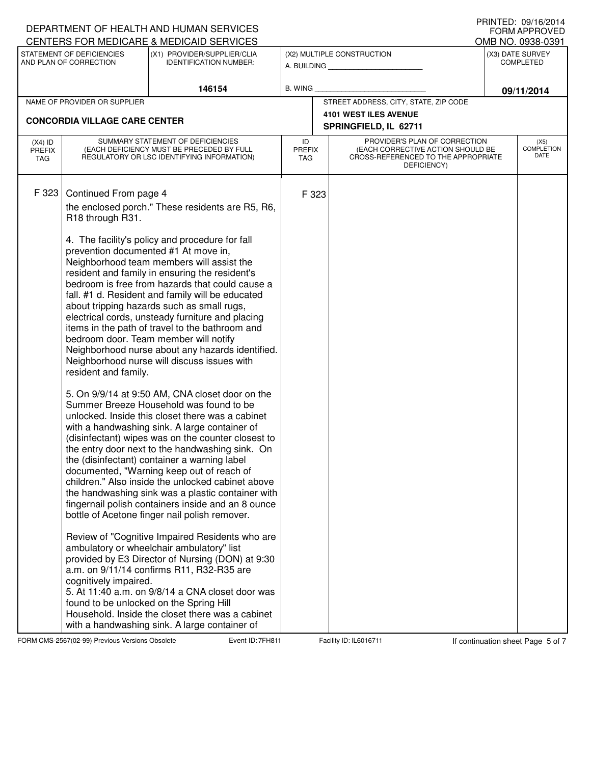| CENTERS FOR MEDICARE & MEDICAID SERVICES<br>OMB NO. 0938-0391<br>STATEMENT OF DEFICIENCIES<br>(X1) PROVIDER/SUPPLIER/CLIA<br>(X2) MULTIPLE CONSTRUCTION<br>(X3) DATE SURVEY<br>AND PLAN OF CORRECTION<br><b>IDENTIFICATION NUMBER:</b><br><b>COMPLETED</b><br>A. BUILDING<br>146154<br><b>B. WING</b><br>09/11/2014<br>STREET ADDRESS, CITY, STATE, ZIP CODE<br>NAME OF PROVIDER OR SUPPLIER<br><b>4101 WEST ILES AVENUE</b><br><b>CONCORDIA VILLAGE CARE CENTER</b><br>SPRINGFIELD, IL 62711<br>SUMMARY STATEMENT OF DEFICIENCIES<br>PROVIDER'S PLAN OF CORRECTION<br>ID<br>$(X4)$ ID<br>(EACH DEFICIENCY MUST BE PRECEDED BY FULL<br>(EACH CORRECTIVE ACTION SHOULD BE<br><b>PREFIX</b><br><b>PREFIX</b><br>CROSS-REFERENCED TO THE APPROPRIATE<br>REGULATORY OR LSC IDENTIFYING INFORMATION)<br><b>TAG</b><br>TAG                                                                                                                                                                                                                                                                                                                                                                                                                                                                                                                                                                                                                                                                                                                                                                                                                                                                                                                                                                              |  |  | DEPARTMENT OF HEALTH AND HUMAN SERVICES |  |  |  |  | + ו <i>ו</i> ווער <i>וכ</i> ט . עם ו ווווער<br><b>FORM APPROVED</b> |
|---------------------------------------------------------------------------------------------------------------------------------------------------------------------------------------------------------------------------------------------------------------------------------------------------------------------------------------------------------------------------------------------------------------------------------------------------------------------------------------------------------------------------------------------------------------------------------------------------------------------------------------------------------------------------------------------------------------------------------------------------------------------------------------------------------------------------------------------------------------------------------------------------------------------------------------------------------------------------------------------------------------------------------------------------------------------------------------------------------------------------------------------------------------------------------------------------------------------------------------------------------------------------------------------------------------------------------------------------------------------------------------------------------------------------------------------------------------------------------------------------------------------------------------------------------------------------------------------------------------------------------------------------------------------------------------------------------------------------------------------------------------------------------------------------|--|--|-----------------------------------------|--|--|--|--|---------------------------------------------------------------------|
|                                                                                                                                                                                                                                                                                                                                                                                                                                                                                                                                                                                                                                                                                                                                                                                                                                                                                                                                                                                                                                                                                                                                                                                                                                                                                                                                                                                                                                                                                                                                                                                                                                                                                                                                                                                                   |  |  |                                         |  |  |  |  |                                                                     |
|                                                                                                                                                                                                                                                                                                                                                                                                                                                                                                                                                                                                                                                                                                                                                                                                                                                                                                                                                                                                                                                                                                                                                                                                                                                                                                                                                                                                                                                                                                                                                                                                                                                                                                                                                                                                   |  |  |                                         |  |  |  |  |                                                                     |
|                                                                                                                                                                                                                                                                                                                                                                                                                                                                                                                                                                                                                                                                                                                                                                                                                                                                                                                                                                                                                                                                                                                                                                                                                                                                                                                                                                                                                                                                                                                                                                                                                                                                                                                                                                                                   |  |  |                                         |  |  |  |  |                                                                     |
|                                                                                                                                                                                                                                                                                                                                                                                                                                                                                                                                                                                                                                                                                                                                                                                                                                                                                                                                                                                                                                                                                                                                                                                                                                                                                                                                                                                                                                                                                                                                                                                                                                                                                                                                                                                                   |  |  |                                         |  |  |  |  |                                                                     |
|                                                                                                                                                                                                                                                                                                                                                                                                                                                                                                                                                                                                                                                                                                                                                                                                                                                                                                                                                                                                                                                                                                                                                                                                                                                                                                                                                                                                                                                                                                                                                                                                                                                                                                                                                                                                   |  |  |                                         |  |  |  |  |                                                                     |
| DEFICIENCY)                                                                                                                                                                                                                                                                                                                                                                                                                                                                                                                                                                                                                                                                                                                                                                                                                                                                                                                                                                                                                                                                                                                                                                                                                                                                                                                                                                                                                                                                                                                                                                                                                                                                                                                                                                                       |  |  |                                         |  |  |  |  | (X5)<br>COMPLETION<br>DATE                                          |
| F 323<br>Continued From page 4<br>F 323<br>the enclosed porch." These residents are R5, R6,<br>R18 through R31.<br>4. The facility's policy and procedure for fall<br>prevention documented #1 At move in,<br>Neighborhood team members will assist the<br>resident and family in ensuring the resident's<br>bedroom is free from hazards that could cause a<br>fall. #1 d. Resident and family will be educated<br>about tripping hazards such as small rugs,<br>electrical cords, unsteady furniture and placing<br>items in the path of travel to the bathroom and<br>bedroom door. Team member will notify<br>Neighborhood nurse about any hazards identified.<br>Neighborhood nurse will discuss issues with<br>resident and family.<br>5. On 9/9/14 at 9:50 AM, CNA closet door on the<br>Summer Breeze Household was found to be<br>unlocked. Inside this closet there was a cabinet<br>with a handwashing sink. A large container of<br>(disinfectant) wipes was on the counter closest to<br>the entry door next to the handwashing sink. On<br>the (disinfectant) container a warning label<br>documented, "Warning keep out of reach of<br>children." Also inside the unlocked cabinet above<br>the handwashing sink was a plastic container with<br>fingernail polish containers inside and an 8 ounce<br>bottle of Acetone finger nail polish remover.<br>Review of "Cognitive Impaired Residents who are<br>ambulatory or wheelchair ambulatory" list<br>provided by E3 Director of Nursing (DON) at 9:30<br>a.m. on 9/11/14 confirms R11, R32-R35 are<br>cognitively impaired.<br>5. At 11:40 a.m. on 9/8/14 a CNA closet door was<br>found to be unlocked on the Spring Hill<br>Household. Inside the closet there was a cabinet<br>with a handwashing sink. A large container of |  |  |                                         |  |  |  |  |                                                                     |

FORM CMS-2567(02-99) Previous Versions Obsolete **7** Event ID: 7FH811 Facility ID: IL6016711 If continuation sheet Page 5 of 7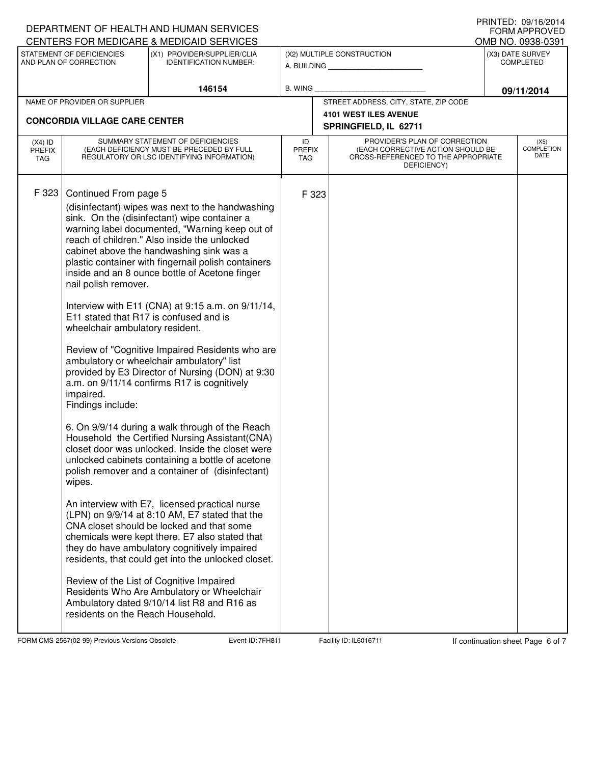|                                          |                                                                                                                                                                                                             | DEPARTMENT OF HEALTH AND HUMAN SERVICES                                                                                                                                                                                                                                                                                                                                                                                                                                                                                                                                                                                                                                                                                                                                                                                                                                                                                                                                                                                                                                                                                                                                                                                                                                                                                             |                |                                       |                                                                                                                          |            | + ונווי וכט. טטוויש ביו<br>FORM APPROVED |
|------------------------------------------|-------------------------------------------------------------------------------------------------------------------------------------------------------------------------------------------------------------|-------------------------------------------------------------------------------------------------------------------------------------------------------------------------------------------------------------------------------------------------------------------------------------------------------------------------------------------------------------------------------------------------------------------------------------------------------------------------------------------------------------------------------------------------------------------------------------------------------------------------------------------------------------------------------------------------------------------------------------------------------------------------------------------------------------------------------------------------------------------------------------------------------------------------------------------------------------------------------------------------------------------------------------------------------------------------------------------------------------------------------------------------------------------------------------------------------------------------------------------------------------------------------------------------------------------------------------|----------------|---------------------------------------|--------------------------------------------------------------------------------------------------------------------------|------------|------------------------------------------|
|                                          | STATEMENT OF DEFICIENCIES                                                                                                                                                                                   | CENTERS FOR MEDICARE & MEDICAID SERVICES<br>(X1) PROVIDER/SUPPLIER/CLIA                                                                                                                                                                                                                                                                                                                                                                                                                                                                                                                                                                                                                                                                                                                                                                                                                                                                                                                                                                                                                                                                                                                                                                                                                                                             |                |                                       | OMB NO. 0938-0391<br>(X3) DATE SURVEY                                                                                    |            |                                          |
|                                          | AND PLAN OF CORRECTION                                                                                                                                                                                      | <b>IDENTIFICATION NUMBER:</b>                                                                                                                                                                                                                                                                                                                                                                                                                                                                                                                                                                                                                                                                                                                                                                                                                                                                                                                                                                                                                                                                                                                                                                                                                                                                                                       |                |                                       | (X2) MULTIPLE CONSTRUCTION<br>A. BUILDING                                                                                |            | <b>COMPLETED</b>                         |
|                                          |                                                                                                                                                                                                             |                                                                                                                                                                                                                                                                                                                                                                                                                                                                                                                                                                                                                                                                                                                                                                                                                                                                                                                                                                                                                                                                                                                                                                                                                                                                                                                                     | <b>B. WING</b> |                                       |                                                                                                                          |            |                                          |
| 146154                                   |                                                                                                                                                                                                             |                                                                                                                                                                                                                                                                                                                                                                                                                                                                                                                                                                                                                                                                                                                                                                                                                                                                                                                                                                                                                                                                                                                                                                                                                                                                                                                                     |                | STREET ADDRESS, CITY, STATE, ZIP CODE |                                                                                                                          | 09/11/2014 |                                          |
| NAME OF PROVIDER OR SUPPLIER             |                                                                                                                                                                                                             |                                                                                                                                                                                                                                                                                                                                                                                                                                                                                                                                                                                                                                                                                                                                                                                                                                                                                                                                                                                                                                                                                                                                                                                                                                                                                                                                     |                |                                       | <b>4101 WEST ILES AVENUE</b>                                                                                             |            |                                          |
|                                          | <b>CONCORDIA VILLAGE CARE CENTER</b>                                                                                                                                                                        |                                                                                                                                                                                                                                                                                                                                                                                                                                                                                                                                                                                                                                                                                                                                                                                                                                                                                                                                                                                                                                                                                                                                                                                                                                                                                                                                     |                |                                       | SPRINGFIELD, IL 62711                                                                                                    |            |                                          |
| $(X4)$ ID<br><b>PREFIX</b><br><b>TAG</b> | SUMMARY STATEMENT OF DEFICIENCIES<br>(EACH DEFICIENCY MUST BE PRECEDED BY FULL<br>REGULATORY OR LSC IDENTIFYING INFORMATION)                                                                                |                                                                                                                                                                                                                                                                                                                                                                                                                                                                                                                                                                                                                                                                                                                                                                                                                                                                                                                                                                                                                                                                                                                                                                                                                                                                                                                                     |                | <b>PREFIX</b>                         | PROVIDER'S PLAN OF CORRECTION<br>(EACH CORRECTIVE ACTION SHOULD BE<br>CROSS-REFERENCED TO THE APPROPRIATE<br>DEFICIENCY) |            | (X5)<br><b>COMPLETION</b><br>DATE        |
| F 323                                    | Continued From page 5<br>nail polish remover.<br>E11 stated that R17 is confused and is<br>wheelchair ambulatory resident.<br>impaired.<br>Findings include:<br>wipes.<br>residents on the Reach Household. | (disinfectant) wipes was next to the handwashing<br>sink. On the (disinfectant) wipe container a<br>warning label documented, "Warning keep out of<br>reach of children." Also inside the unlocked<br>cabinet above the handwashing sink was a<br>plastic container with fingernail polish containers<br>inside and an 8 ounce bottle of Acetone finger<br>Interview with E11 (CNA) at 9:15 a.m. on 9/11/14,<br>Review of "Cognitive Impaired Residents who are<br>ambulatory or wheelchair ambulatory" list<br>provided by E3 Director of Nursing (DON) at 9:30<br>a.m. on 9/11/14 confirms R17 is cognitively<br>6. On 9/9/14 during a walk through of the Reach<br>Household the Certified Nursing Assistant(CNA)<br>closet door was unlocked. Inside the closet were<br>unlocked cabinets containing a bottle of acetone<br>polish remover and a container of (disinfectant)<br>An interview with E7, licensed practical nurse<br>(LPN) on 9/9/14 at 8:10 AM, E7 stated that the<br>CNA closet should be locked and that some<br>chemicals were kept there. E7 also stated that<br>they do have ambulatory cognitively impaired<br>residents, that could get into the unlocked closet.<br>Review of the List of Cognitive Impaired<br>Residents Who Are Ambulatory or Wheelchair<br>Ambulatory dated 9/10/14 list R8 and R16 as | F 323          |                                       |                                                                                                                          |            |                                          |